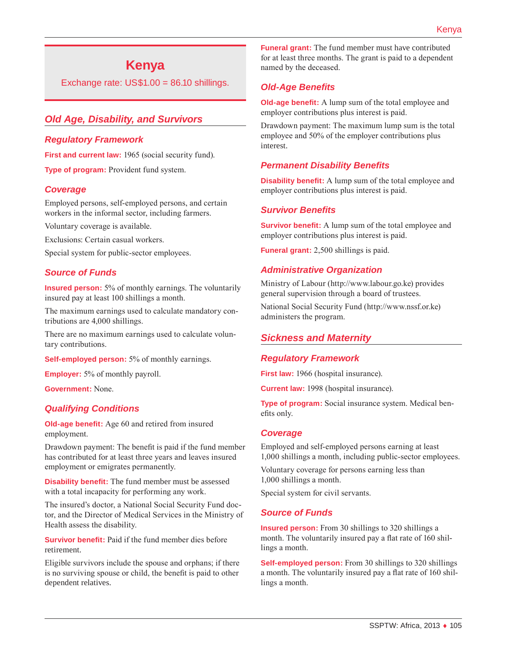# **Kenya**

Exchange rate: US\$1.00 = 86.10 shillings.

# *Old Age, Disability, and Survivors*

#### *Regulatory Framework*

First and current law: 1965 (social security fund).

**Type of program:** Provident fund system.

### *Coverage*

Employed persons, self-employed persons, and certain workers in the informal sector, including farmers.

Voluntary coverage is available.

Exclusions: Certain casual workers.

Special system for public-sector employees.

### *Source of Funds*

**Insured person:** 5% of monthly earnings. The voluntarily insured pay at least 100 shillings a month.

The maximum earnings used to calculate mandatory contributions are 4,000 shillings.

There are no maximum earnings used to calculate voluntary contributions.

**Self-employed person:** 5% of monthly earnings.

**Employer:** 5% of monthly payroll.

**Government:** None.

#### *Qualifying Conditions*

**Old-age benefit:** Age 60 and retired from insured employment.

Drawdown payment: The benefit is paid if the fund member has contributed for at least three years and leaves insured employment or emigrates permanently.

**Disability benefit:** The fund member must be assessed with a total incapacity for performing any work.

The insured's doctor, a National Social Security Fund doctor, and the Director of Medical Services in the Ministry of Health assess the disability.

**Survivor benefit:** Paid if the fund member dies before retirement.

Eligible survivors include the spouse and orphans; if there is no surviving spouse or child, the benefit is paid to other dependent relatives.

**Funeral grant:** The fund member must have contributed for at least three months. The grant is paid to a dependent named by the deceased.

### *Old-Age Benefits*

**Old-age benefit:** A lump sum of the total employee and employer contributions plus interest is paid.

Drawdown payment: The maximum lump sum is the total employee and 50% of the employer contributions plus interest.

#### *Permanent Disability Benefits*

**Disability benefit:** A lump sum of the total employee and employer contributions plus interest is paid.

### *Survivor Benefits*

**Survivor benefit:** A lump sum of the total employee and employer contributions plus interest is paid.

**Funeral grant:** 2,500 shillings is paid.

#### *Administrative Organization*

Ministry of Labour [\(http://www.labour.go.ke](http://www.labour.go.ke)) provides general supervision through a board of trustees.

National Social Security Fund [\(http://www.nssf.or.ke](http://www.nssf.or.ke)) administers the program.

### *Sickness and Maternity*

#### *Regulatory Framework*

**First law:** 1966 (hospital insurance).

**Current law:** 1998 (hospital insurance).

**Type of program:** Social insurance system. Medical benefits only.

#### *Coverage*

Employed and self-employed persons earning at least 1,000 shillings a month, including public-sector employees.

Voluntary coverage for persons earning less than 1,000 shillings a month.

Special system for civil servants.

#### *Source of Funds*

**Insured person:** From 30 shillings to 320 shillings a month. The voluntarily insured pay a flat rate of 160 shillings a month.

**Self-employed person:** From 30 shillings to 320 shillings a month. The voluntarily insured pay a flat rate of 160 shillings a month.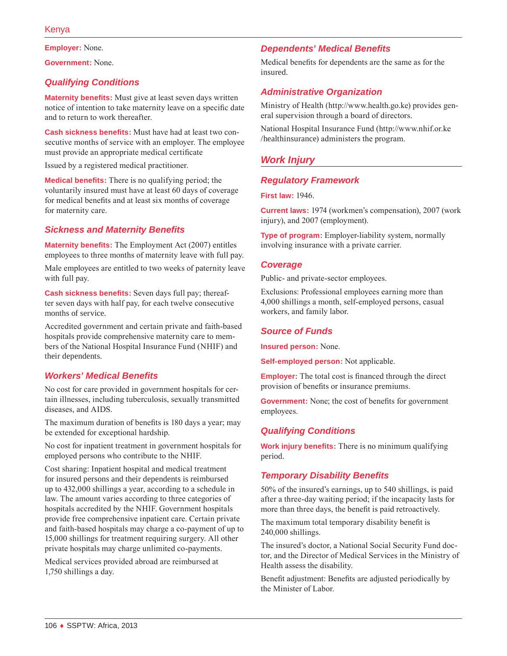**Employer:** None.

**Government:** None.

# *Qualifying Conditions*

**Maternity benefits:** Must give at least seven days written notice of intention to take maternity leave on a specific date and to return to work thereafter.

**Cash sickness benefits:** Must have had at least two consecutive months of service with an employer. The employee must provide an appropriate medical certificate

Issued by a registered medical practitioner.

**Medical benefits:** There is no qualifying period; the voluntarily insured must have at least 60 days of coverage for medical benefits and at least six months of coverage for maternity care.

# *Sickness and Maternity Benefits*

**Maternity benefits:** The Employment Act (2007) entitles employees to three months of maternity leave with full pay.

Male employees are entitled to two weeks of paternity leave with full pay.

**Cash sickness benefits:** Seven days full pay; thereafter seven days with half pay, for each twelve consecutive months of service.

Accredited government and certain private and faith-based hospitals provide comprehensive maternity care to members of the National Hospital Insurance Fund (NHIF) and their dependents.

### *Workers' Medical Benefits*

No cost for care provided in government hospitals for certain illnesses, including tuberculosis, sexually transmitted diseases, and AIDS.

The maximum duration of benefits is 180 days a year; may be extended for exceptional hardship.

No cost for inpatient treatment in government hospitals for employed persons who contribute to the NHIF.

Cost sharing: Inpatient hospital and medical treatment for insured persons and their dependents is reimbursed up to 432,000 shillings a year, according to a schedule in law. The amount varies according to three categories of hospitals accredited by the NHIF. Government hospitals provide free comprehensive inpatient care. Certain private and faith-based hospitals may charge a co-payment of up to 15,000 shillings for treatment requiring surgery. All other private hospitals may charge unlimited co-payments.

Medical services provided abroad are reimbursed at 1,750 shillings a day.

# *Dependents' Medical Benefits*

Medical benefits for dependents are the same as for the insured.

# *Administrative Organization*

Ministry of Health ([http://www.health.go.ke\)](http://www.health.go.ke) provides general supervision through a board of directors.

National Hospital Insurance Fund ([http://www.nhif.or.ke](http://www.nhif.or.ke/healthinsurance) [/healthinsurance](http://www.nhif.or.ke/healthinsurance)) administers the program.

# *Work Injury*

# *Regulatory Framework*

**First law:** 1946.

**Current laws:** 1974 (workmen's compensation), 2007 (work injury), and 2007 (employment).

**Type of program:** Employer-liability system, normally involving insurance with a private carrier.

### *Coverage*

Public- and private-sector employees.

Exclusions: Professional employees earning more than 4,000 shillings a month, self-employed persons, casual workers, and family labor.

### *Source of Funds*

**Insured person:** None.

**Self-employed person:** Not applicable.

**Employer:** The total cost is financed through the direct provision of benefits or insurance premiums.

**Government:** None; the cost of benefits for government employees.

# *Qualifying Conditions*

**Work injury benefits:** There is no minimum qualifying period.

### *Temporary Disability Benefits*

50% of the insured's earnings, up to 540 shillings, is paid after a three-day waiting period; if the incapacity lasts for more than three days, the benefit is paid retroactively.

The maximum total temporary disability benefit is 240,000 shillings.

The insured's doctor, a National Social Security Fund doctor, and the Director of Medical Services in the Ministry of Health assess the disability.

Benefit adjustment: Benefits are adjusted periodically by the Minister of Labor.